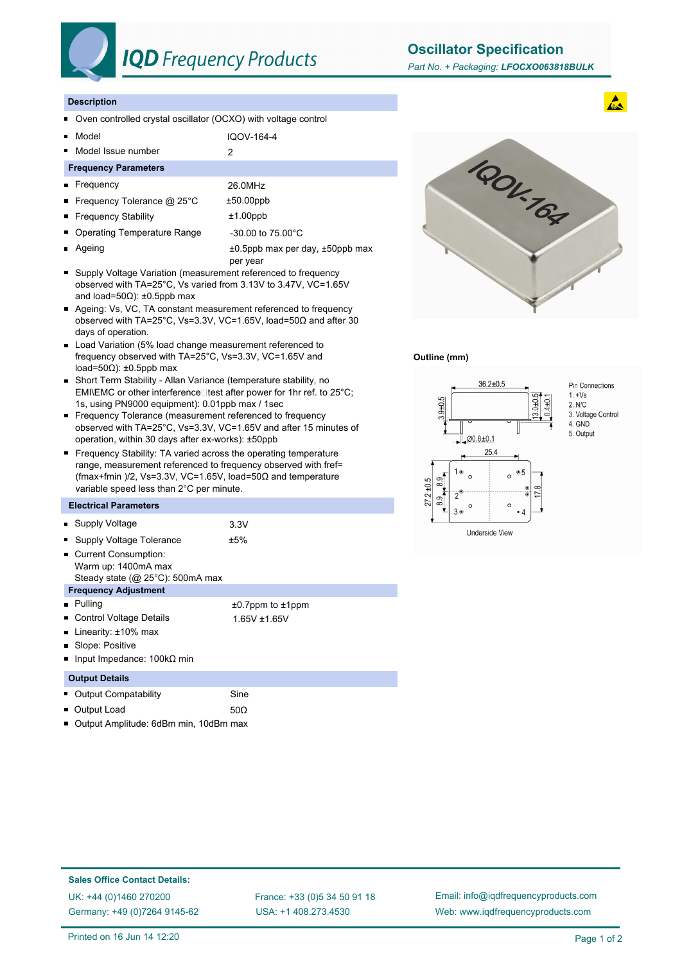

### **IQD** Frequency Products

**Oscillator Specification**

#### **Description**

- Oven controlled crystal oscillator (OCXO) with voltage control  $\blacksquare$
- Model IQOV-164-4  $\blacksquare$
- Model Issue number 2  $\blacksquare$

#### **Frequency Parameters**

- Frequency 26.0MHz ■ Frequency Tolerance @ 25°C ±50.00ppb ■ Frequency Stability **the Example 11.00ppb**
- Operating Temperature Range 430.00 to 75.00°C
- Ageing  $\pm 0.5$ ppb max per day,  $\pm 50$ ppb max o.
- per year ■ Supply Voltage Variation (measurement referenced to frequency observed with TA=25°C, Vs varied from 3.13V to 3.47V, VC=1.65V and load=50Ω): ±0.5ppb max
- Ageing: Vs, VC, TA constant measurement referenced to frequency observed with TA=25°C, Vs=3.3V, VC=1.65V, load=50Ω and after 30 days of operation.
- Load Variation (5% load change measurement referenced to frequency observed with TA=25°C, Vs=3.3V, VC=1.65V and load=50Ω): ±0.5ppb max
- Short Term Stability Allan Variance (temperature stability, no EMI\EMC or other interference $\square$  test after power for 1hr ref. to 25°C; 1s, using PN9000 equipment): 0.01ppb max / 1sec
- Frequency Tolerance (measurement referenced to frequency observed with TA=25°C, Vs=3.3V, VC=1.65V and after 15 minutes of operation, within 30 days after ex-works): ±50ppb
- **Frequency Stability: TA varied across the operating temperature** range, measurement referenced to frequency observed with fref= (fmax+fmin )/2, Vs=3.3V, VC=1.65V, load=50Ω and temperature variable speed less than 2°C per minute.

#### **Electrical Parameters**

| • Supply Voltage                                                                       | 3.3V                   |
|----------------------------------------------------------------------------------------|------------------------|
| Supply Voltage Tolerance<br>п                                                          | ±5%                    |
| Current Consumption:<br>Warm up: 1400mA max<br>Steady state ( $@$ 25 $°C$ ): 500mA max |                        |
| <b>Frequency Adjustment</b>                                                            |                        |
| <b>Pulling</b>                                                                         | $±0.7$ ppm to $±1$ ppm |
| Control Voltage Details<br>■                                                           | 1.65V ±1.65V           |
| Linearity: $±10\%$ max<br>п                                                            |                        |
| ■ Slope: Positive                                                                      |                        |
| Input Impedance: $100kΩ$ min                                                           |                        |
| <b>Output Details</b>                                                                  |                        |
| <b>Output Compatability</b>                                                            | Sine                   |
| Output Load                                                                            | 50Ω                    |

**Dutput Amplitude: 6dBm min, 10dBm max** 



#### **Outline (mm)**



# 3. Voltage Control

**Sales Office Contact Details:** UK: +44 (0)1460 270200 France: +33 (0)5 34 50 91 18

Germany: +49 (0)7264 9145-62

USA: +1 408.273.4530

Email: info@iqdfrequencyproducts.com Web: www.iqdfrequencyproducts.com